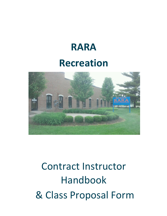# **RARA Recreation**



# Contract Instructor Handbook & Class Proposal Form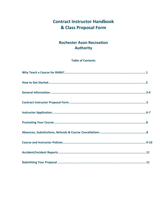# **Contract Instructor Handbook** & Class Proposal Form

## **Rochester Avon Recreation Authority**

## **Table of Contents**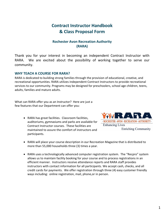## **Contract Instructor Handbook & Class Proposal Form**

## **Rochester Avon Recreation Authority (RARA)**

Thank you for your interest in becoming an independent Contract Instructor with RARA. We are excited about the possibility of working together to serve our community.

## **WHY TEACH A COURSE FOR RARA?**

RARA is dedicated to building strong families through the provision of educational, creative, and recreational opportunities. RARA utilizes independent Contract Instructors to provide recreational services to our community. Programs may be designed for preschoolers, school age children, teens, adults, families and mature adults.

What can RARA offer you as an Instructor? Here are just a few features that our Department can offer you:

> • RARA has great facilities. Classroom facilities, auditoriums, gymnasiums and parks are available for Contract Instructor courses. These facilities are maintained to assure the comfort of instructors and participants.



- RARA will place your course description in our Recreation Magazine that is distributed to more than 55,000 households three (3) times a year.
- RARA uses a technologically advanced computer registration system. The "Recpro" system allows us to maintain facility booking for your course and to process registrations in an efficient manner. Instructors receive attendance reports and RARA staff provides instructors with contact information for all participants. We accept cash, checks, and all credit cards for payments. We offer registration through three (4) easy customer friendly ways including: online registration, mail, phone,or in person.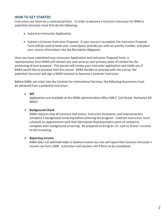## **HOW TO GET STARTED**

Instructors are hired on a contractual basis. In order to become a Contract Instructor for RARA a potential instructor must first do the following:

- Submit an Instructor Application.
- Submit a Contract Instructor Proposal: If your course is accepted, the Instructor Proposal Form will be used to book your room/space, provide you with an activity number, and place your course information into the Recreation Magazine.

Once you have submitted your Instructor Application and Instructor Proposal Form, a representative from RARA will contact you and serve as your primary point of contact for the processing of your proposal. This person will review your instructor application and notify you if RARA would like to proceed with the course. RARA decides to proceed with the course, the potential instructor will sign a RARA Contract to become a Contract Instructor.

Before RARA can enter into the Contract for Instructional Services, the following documents must be obtained from a potential instructor:

## • **W9**

Applications are available at the RARA administrative office 500 E. 2nd Street, Rochester MI 48307.

## • **Background Check**

RARA requires that all Contract Instructors, Instructor Assistants, and Subcontractors complete a background screening before entering the program. Contract Instructors must schedule an appointment with their Recreation Representative point of contact to complete their background screening. Be prepared to bring an I.D. card or Driver's License to the screening.

## • **Reporting Income**

RARA does not withhold state or federal income tax, but will report the Contract Instructor's income via Form 1099. Instructors will receive a W-9 form to be completed.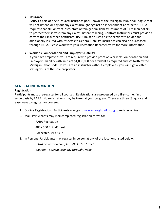## • **Insurance**

RARAis a part of a self-insured insurance pool known as the Michigan Municipal League that will not defend or pay out any claims brought against an Independent Contractor. RARA requires that all Contract Instructors obtain general liability insurance of \$1 million dollars to protect themselves from any claims. Before teaching, Contract Instructors must provide a copy of their insurance certificate. RARA must be listed as the certificate holder and additionally insured with respects to General Liability. Insurance can also be purchased through RARA. Please work with your Recreation Representative for more information.

## • **Worker's Compensation and Employer's Liability**

If you have employees you are required to provide proof of Workers' Compensation and Employers' Liability with limits of \$1,000,000 per accident as required and set forth by the Michigan Labor Code. If, you are an instructor without employees, you will sign a letter stating you are the sole proprietor.

## **GENERAL INFORMATION**

#### **Registration**

Participants must pre-register for all courses. Registrations are processed on a first-come; first serve basis by RARA. No registrations may be taken at your program. There are three (3) quick and easy ways to register for courses:

- 1. On-line Registration: Participants may go to www.rararegistration.org to register online.
- 2. Mail: Participants may mail completed registration forms to:

RARA Recreation 480 - 500 E. 2ndStreet Rochester, MI 48307

3. In Person: Participants may register in person at any of the locations listed below:

*RARA Recreation Complex, 500 E. 2nd Street*

*8:00am – 5:00pm, Monday through Friday*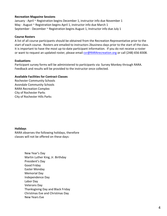#### **Recreation Magazine Sessions**

January - April ~ Registration begins December 1, instructor info due November 1 May - August  $\sim$  Registration begins April 1, instructor info due March 1 September - December ~ Registration begins August 1, Instructor info due July 1

#### **Course Rosters**

A list of all course participants should be obtained from the Recreation Representative prior to the start of each course. Rosters are emailed to instructors 2business days prior to the start of the class. It is important to have the most up-to-date participant information. If you do not receive a roster or want to request an updated roster, please email csr@RARArecreation.org or call (248) 656-8308.

## **Evaluations**

Participant survey forms will be administered to participants via Survey Monkey through RARA. Feedback and results will be provided to the instructor once collected.

## **Available Facilities for Contract Classes**

Rochester Community Schools Avondale Community Schools RARA Recreation Complex City of Rochester Parks City of Rochester Hills Parks

## **Holidays**

RARA observes the following holidays, therefore classes will not be offered on these days:

> New Year's Day Martin Luther King, Jr. Birthday President's Day Good Friday Easter Monday Memorial Day Independence Day Labor Day Veterans Day Thanksgiving Day and Black Friday Christmas Eve and Christmas Day New Years Eve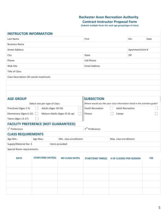## **Rochester Avon Recreation Authority**

## **Contract Instructor Proposal Form**

**(Submit multiple forms for each age group/type of class)** 

## **INSTRUCTOR INFORMATION**

| Last Name                                                |                                     |                       |                                            | First                                                                       |                        | M.I.             | Date |  |  |  |
|----------------------------------------------------------|-------------------------------------|-----------------------|--------------------------------------------|-----------------------------------------------------------------------------|------------------------|------------------|------|--|--|--|
| <b>Business Name</b>                                     |                                     |                       |                                            |                                                                             |                        |                  |      |  |  |  |
| <b>Street Address</b>                                    |                                     |                       |                                            |                                                                             |                        | Apartment/Unit # |      |  |  |  |
| City                                                     |                                     |                       |                                            | State                                                                       | <b>ZIP</b>             |                  |      |  |  |  |
| Phone                                                    |                                     |                       |                                            | Cell Phone                                                                  |                        |                  |      |  |  |  |
| Web Site                                                 |                                     |                       |                                            | <b>Email Address</b>                                                        |                        |                  |      |  |  |  |
| Title of Class                                           |                                     |                       |                                            |                                                                             |                        |                  |      |  |  |  |
| Class Description (45 words maximum)                     |                                     |                       |                                            |                                                                             |                        |                  |      |  |  |  |
|                                                          |                                     |                       |                                            |                                                                             |                        |                  |      |  |  |  |
|                                                          |                                     |                       |                                            |                                                                             |                        |                  |      |  |  |  |
|                                                          |                                     |                       |                                            |                                                                             |                        |                  |      |  |  |  |
| <b>AGE GROUP</b>                                         |                                     |                       |                                            | <b>SUBSECTION</b>                                                           |                        |                  |      |  |  |  |
| Select one per type of class:                            |                                     |                       |                                            | Where would you like your class information listed in the activities guide? |                        |                  |      |  |  |  |
| Adults (Ages 18-54)<br>Preschool (Ages 2-5)              |                                     |                       |                                            | Youth Recreation<br><b>Adult Recreation</b>                                 |                        |                  |      |  |  |  |
| Elementary (Ages 6-12)<br>Mature Adults (Ages 55 & up)   |                                     |                       |                                            | Fitness                                                                     | Camps                  |                  |      |  |  |  |
| Teens (Ages 13-17)                                       |                                     |                       |                                            |                                                                             |                        |                  |      |  |  |  |
| <b>FACILITY PREFERENCE (NOT GUARANTEED)</b>              |                                     |                       |                                            |                                                                             |                        |                  |      |  |  |  |
| 2 <sup>nd</sup> Preference<br>1 <sup>st</sup> Preference |                                     |                       |                                            |                                                                             |                        |                  |      |  |  |  |
| <b>CLASS REQUIREMENTS</b>                                |                                     |                       |                                            |                                                                             |                        |                  |      |  |  |  |
| Age Min.:                                                | Min. class enrollment:<br>Age Max.: |                       |                                            |                                                                             | Max. class enrollment: |                  |      |  |  |  |
| Supply/Material fee: \$                                  | Items provided:                     |                       |                                            |                                                                             |                        |                  |      |  |  |  |
| Special Room requirements:                               |                                     |                       |                                            |                                                                             |                        |                  |      |  |  |  |
| <b>START/END DATE(S)</b><br><b>DAYS</b>                  |                                     | <b>NO CLASS DATES</b> | START/END TIME(S) # OF CLASSES PER SESSION |                                                                             |                        | <b>FEE</b>       |      |  |  |  |
|                                                          |                                     |                       |                                            |                                                                             |                        |                  |      |  |  |  |
|                                                          |                                     |                       |                                            |                                                                             |                        |                  |      |  |  |  |
|                                                          |                                     |                       |                                            |                                                                             |                        |                  |      |  |  |  |
|                                                          |                                     |                       |                                            |                                                                             |                        |                  |      |  |  |  |
|                                                          |                                     |                       |                                            |                                                                             |                        |                  |      |  |  |  |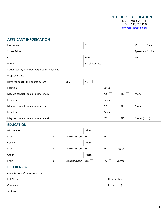## INSTRUCTOR APPLICATION

Phone: (248) 656 -8308 Fax: (248) 656-1502 csr@rararecreation.org

| <b>APPLICANT INFORMATION</b>                  |                |                         |              |                     |                                          |           |          |           |  |
|-----------------------------------------------|----------------|-------------------------|--------------|---------------------|------------------------------------------|-----------|----------|-----------|--|
| Last Name                                     | First          |                         |              | M.I.                | Date                                     |           |          |           |  |
| <b>Street Address</b>                         |                |                         |              |                     | Apartment/Unit #                         |           |          |           |  |
| City                                          | State          |                         |              |                     | ZIP                                      |           |          |           |  |
| Phone                                         | E-mail Address |                         |              |                     |                                          |           |          |           |  |
| Social Security Number (Required for payment) |                |                         |              |                     |                                          |           |          |           |  |
| <b>Proposed Class</b>                         |                |                         |              |                     |                                          |           |          |           |  |
| Have you taught this course before?           |                | YES $\Box$              | <b>NO</b>    |                     |                                          |           |          |           |  |
| Location                                      |                | Dates                   |              |                     |                                          |           |          |           |  |
| May we contact them as a reference?           |                |                         |              |                     | YES $\Box$<br><b>NO</b>                  |           | Phone: ( |           |  |
| Location                                      |                |                         |              | Dates               |                                          |           |          |           |  |
| May we contact them as a reference?           |                |                         |              |                     | YES $\Box$<br><b>NO</b>                  |           | Phone: ( | $\lambda$ |  |
| Location                                      |                |                         |              | Dates               |                                          |           |          |           |  |
| May we contact them as a reference?           |                | YES $\Box$<br><b>NO</b> |              |                     | Phone: (                                 | $\lambda$ |          |           |  |
| <b>EDUCATION</b>                              |                |                         |              |                     |                                          |           |          |           |  |
| High School                                   |                |                         | Address      |                     |                                          |           |          |           |  |
| From                                          | To             | Did you graduate?       | YES $\Box$   | <b>NO</b>           |                                          |           |          |           |  |
| College                                       |                |                         | Address      |                     |                                          |           |          |           |  |
| From                                          | To             | Did you graduate?       | $YES$ $\Box$ | <b>NO</b><br>Degree |                                          |           |          |           |  |
| Other                                         |                |                         | Address      |                     |                                          |           |          |           |  |
| From                                          | To             | Didyougraduate? YES     |              | <b>NO</b>           |                                          | Degree    |          |           |  |
| <b>REFERENCES</b>                             |                |                         |              |                     |                                          |           |          |           |  |
| Please list two professional references.      |                |                         |              |                     |                                          |           |          |           |  |
| <b>Full Name</b>                              |                |                         |              |                     | Relationship                             |           |          |           |  |
| Company                                       |                |                         |              |                     | Phone<br>$\overline{(}$<br>$\mathcal{E}$ |           |          |           |  |
| Address                                       |                |                         |              |                     |                                          |           |          |           |  |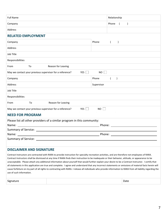| <b>Full Name</b>                                         | Relationship                                                                                                                                                                                                                                                                                                                                                                                                                                                                                                                                                                                                                                                                                                                                                                                           |                     |                             |      |  |
|----------------------------------------------------------|--------------------------------------------------------------------------------------------------------------------------------------------------------------------------------------------------------------------------------------------------------------------------------------------------------------------------------------------------------------------------------------------------------------------------------------------------------------------------------------------------------------------------------------------------------------------------------------------------------------------------------------------------------------------------------------------------------------------------------------------------------------------------------------------------------|---------------------|-----------------------------|------|--|
| Company                                                  |                                                                                                                                                                                                                                                                                                                                                                                                                                                                                                                                                                                                                                                                                                                                                                                                        | Phone<br>$\sqrt{2}$ | $\lambda$                   |      |  |
| Address                                                  |                                                                                                                                                                                                                                                                                                                                                                                                                                                                                                                                                                                                                                                                                                                                                                                                        |                     |                             |      |  |
| <b>RELATED EMPLOYMENT</b>                                |                                                                                                                                                                                                                                                                                                                                                                                                                                                                                                                                                                                                                                                                                                                                                                                                        |                     |                             |      |  |
| Company                                                  |                                                                                                                                                                                                                                                                                                                                                                                                                                                                                                                                                                                                                                                                                                                                                                                                        | Phone               |                             |      |  |
| Address                                                  |                                                                                                                                                                                                                                                                                                                                                                                                                                                                                                                                                                                                                                                                                                                                                                                                        |                     |                             |      |  |
| Job Title                                                |                                                                                                                                                                                                                                                                                                                                                                                                                                                                                                                                                                                                                                                                                                                                                                                                        |                     |                             |      |  |
| Responsibilities                                         |                                                                                                                                                                                                                                                                                                                                                                                                                                                                                                                                                                                                                                                                                                                                                                                                        |                     |                             |      |  |
| From<br>To                                               | Reason for Leaving                                                                                                                                                                                                                                                                                                                                                                                                                                                                                                                                                                                                                                                                                                                                                                                     |                     |                             |      |  |
| May we contact your previous supervisor for a reference? | YES                                                                                                                                                                                                                                                                                                                                                                                                                                                                                                                                                                                                                                                                                                                                                                                                    | <b>NO</b>           |                             |      |  |
| Company                                                  |                                                                                                                                                                                                                                                                                                                                                                                                                                                                                                                                                                                                                                                                                                                                                                                                        | Phone               | $\lambda$<br>$\overline{ }$ |      |  |
| Address                                                  |                                                                                                                                                                                                                                                                                                                                                                                                                                                                                                                                                                                                                                                                                                                                                                                                        | Supervisor          |                             |      |  |
| Job Title                                                |                                                                                                                                                                                                                                                                                                                                                                                                                                                                                                                                                                                                                                                                                                                                                                                                        |                     |                             |      |  |
| Responsibilities                                         |                                                                                                                                                                                                                                                                                                                                                                                                                                                                                                                                                                                                                                                                                                                                                                                                        |                     |                             |      |  |
| To<br>From                                               | Reason for Leaving                                                                                                                                                                                                                                                                                                                                                                                                                                                                                                                                                                                                                                                                                                                                                                                     |                     |                             |      |  |
| May we contact your previous supervisor for a reference? | $YES$                                                                                                                                                                                                                                                                                                                                                                                                                                                                                                                                                                                                                                                                                                                                                                                                  | <b>NO</b>           |                             |      |  |
| <b>NEED FOR PROGRAM</b>                                  |                                                                                                                                                                                                                                                                                                                                                                                                                                                                                                                                                                                                                                                                                                                                                                                                        |                     |                             |      |  |
|                                                          | Please list all other providers of a similar program in this community:                                                                                                                                                                                                                                                                                                                                                                                                                                                                                                                                                                                                                                                                                                                                |                     |                             |      |  |
| Name:                                                    | <u> 1980 - Jan Samuel Barbara, martin din samud al-</u>                                                                                                                                                                                                                                                                                                                                                                                                                                                                                                                                                                                                                                                                                                                                                |                     |                             |      |  |
| Summary of Service:                                      |                                                                                                                                                                                                                                                                                                                                                                                                                                                                                                                                                                                                                                                                                                                                                                                                        |                     |                             |      |  |
| Name:                                                    |                                                                                                                                                                                                                                                                                                                                                                                                                                                                                                                                                                                                                                                                                                                                                                                                        | Phone:              |                             |      |  |
| Summary of Service: ________                             |                                                                                                                                                                                                                                                                                                                                                                                                                                                                                                                                                                                                                                                                                                                                                                                                        |                     |                             |      |  |
| <b>DISCLAIMER AND SIGNATURE</b>                          |                                                                                                                                                                                                                                                                                                                                                                                                                                                                                                                                                                                                                                                                                                                                                                                                        |                     |                             |      |  |
| use of such information.                                 | Contract Instructors are contracted with RARA to provide instruction for specialty recreation activities, and are therefore not employees of RARA.<br>Contract Instructors shall be dismissed at any time if RARA finds their instruction to be inadequate or their behavior, attitude, or appearance to be<br>unacceptable. Please attach any additional information about yourself that would further explain your desire to be a Contract Instructor. I certify that<br>all statements in this application are true and complete. I agree and understand that any incorrect statements or omissions of material facts herein will<br>cause forfeiture on my part of all rights to contracting with RARA. I release all individuals who provide information to RARA from all liability regarding the |                     |                             |      |  |
| Signature                                                |                                                                                                                                                                                                                                                                                                                                                                                                                                                                                                                                                                                                                                                                                                                                                                                                        |                     |                             | Date |  |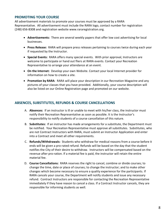## **PROMOTING YOUR COURSE**

All advertisement materials to promote your courses must be approved by a RARA Representative. All advertisement must include the RARA logo, contact number for registration (248) 656-8308 and registration website www.rararegistration.org.

- **Advertisements:** There are several weekly papers that offer low cost advertising for local businesses.
- **Press Release:** RARA will prepare press releases pertaining to courses twice during each year if requested by the Instructor.
- **Special Events:** RARA offers many special events. With prior approval, Instructors are welcome to participate or hand out fliers at RARA events. Contact your Recreation Representative to arrange your attendance at an event.
- **On the Internet:** Develop your own Website. Contact your local Internet provider for information on how to create a site.
- **Promotion by RARA**: RARA will place your description in our Recreation Magazine and any pictures of your classes that you have provided. Additionally, your course description will also be listed on our Online Registration page and promoted on our website.

## **ABSENCES, SUBSTITUTES, REFUNDS & COURSE CANCELLATIONS**

- A. **Absences:** If an instructor is ill or unable to meet with his/her class, the instructor must notify their Recreation Representative as soon as possible. It is the Instructor's responsibility to notify students of a course cancellation of this nature.
- B. **Substitutes:** If an instructor has made arrangements for a substitute, the Department must be notified. Your Recreation Representative must approve all substitutes. Substitutes, who are not Contract Instructors with RARA, must submit an Instructor Application and enter into a Contract and meet all other requirements.
- C. **Refunds/Withdrawals:** Students who withdraw for medical reasons from a course before it ends will be given a pro-rated refund. Refunds will be based on the day that the student notifies the City of their desire to withdraw. Instructors will be compensated based on the revenue after pro-ration. If a material fee is paid, the instructor will retain the entire material fee.
- D. **Course Cancellations:** RARA reserves the right to cancel, combine or divide courses; to change the time, date or place of courses; to change the instructor; and to make other changes which become necessary to ensure a quality experience for the participants. If RARA cancels your course, the Department will notify students and issue any necessary refund. Contract Instructors are responsible for contacting the Recreation Representative immediately if they have reason to cancel a class. If a Contract Instructor cancels, they are responsible for informing students as well.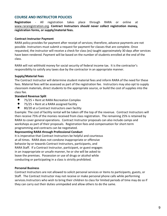## **COURSE AND INSTRUCTOR POLICIES**

**Registration** - All registration takes place through RARA or online at www.rararegistration.org. **Contract Instructors should never collect registration money, registration forms, or supply/material fees.**

## **Contract Instructor Payment**

RARA policy provides for payment after receipt of services; therefore, advance payments are not possible. Instructors must submit a request for payment for classes that are complete. Once requested, the instructor will receive a check for class (es) taught approximately 30 days after services have been rendered. Payment will be based on the number of students enrolled at the end of the class.

RARA will not withhold money for social security of federal income tax. It is the contractor's responsibility to satisfy any taxes due by the contractor in an appropriate manner.

## **Supply/Material Fees**

The Contract Instructor will determine student material fees and inform RARA of the need for these fees. Material fees will be assessed as part of the registration fee. Instructors may also opt to supply classroom materials, direct students to the appropriate source, or build the cost of supplies into the class fee.

## **Standard Revenue Split**

- 75/25 + Rent at RARA Recreation Complex
- $\bullet$  75/25 + Rent at a RARA assigned facility
- 80/20 at a Contract Instructors own facility

Example: The cost of facility rental will be taken off the top of the revenue. Contract Instructors will then receive 75% of the monies received from class registration. The remaining 25% is retained by RARA to cover general operations. Contract Instructor proposals can also include camps and workshops as part of their proposals. Registration fees and compensation for short-term programming and contracts can be negotiated.

#### **Representing RARA through Professional Conduct**

It is imperative that Contract Instructors be helpful and courteous at all times. RARA does not condone inappropriate or offensive behavior by or towards Contract Instructors, participants, and RARA Staff. If a Contract Instructor, participant, or guest engages in an inappropriate or unsafe manner, he or she will be asked to leave the premises. Possession or use of drugs or alcohol while conducting or participating in a class is strictly prohibited.

#### **Personal Business**

Contract Instructors are not allowed to solicit personal services or items to participants, guests, or Staff. The Contract Instructor may not receive or make personal phone calls while performing services.Instructors who wish to bring their children to class for limited periods of time may do so if they can carry out their duties unimpeded and allow others to do the same.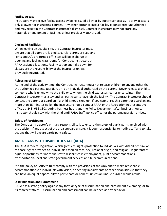## **Facility Access**

Instructors may receive facility access by being issued a key or by supervisor access. Facility access is only allowed for instructing courses. Any other entrance into a facility is considered unauthorized and may result in the Contract Instructor's dismissal. Contract Instructors may not store any materials or equipment at facilities unless previously authorized.

## **Closing of Facilities**

When leaving an activity site, the Contract Instructor must ensure that all doors are locked securely, alarms are set, and lights and A/C are turned off. Staff will be in charge of opening and locking classrooms for Contract Instructors at RARA assigned locations. Facility set up and take down for classes are the responsibility of the Instructor unless previously negotiated.

## **Releasing of Minors**

At the end of the activity time, the Contract Instructor must not release children to anyone other than the authorized parent, guardian, or to an individual authorized by the parent. Never release a child to someone who is unknown to the child or to whom the child expresses fear or uncertainty. The Contract Instructor must stay until all participants have left the facility. The Contract Instructor should contact the parent or guardian if a child is not picked up. If you cannot reach a parent or guardian and more than 15 minutes go by, the Instructor should contact RARA or the Recreation Representative office at (248) 656-8308 during business hours and the Police Department after business hours. Instructor should stay with the child until RARA Staff, police officer or the parent/guardian arrives.

## **Safety of Participants**

The Contract Instructor's primary responsibility is to ensure the safety of participants involved with the activity. If any aspect of the area appears unsafe, it is your responsibility to notify Staff and to take actions that will ensure participant safety.

## **AMERICANS WITH DISABILIITIES ACT (ADA)**

The ADA is federal legislation, which gives civil rights protection to individuals with disabilities similar to those rights provided to individuals based on race, sex, national origin, and religion. It guarantees equal opportunity for individuals with disabilities in employment, public accommodations, transportation, local and state government services and telecommunications.

It is the policy of RARA to fully comply with the provisions of the ADA and to make reasonable accommodations to individuals with vision, or hearing impairments or other disabilities so that they can have an equal opportunity to participate or benefit, unless an undue burden would result.

#### **Discrimination and Harassment**

RARA has a strong policy against any form or type of discrimination and harassment by, among, or to its representatives. Discrimination and harassment can be defined as any behavior